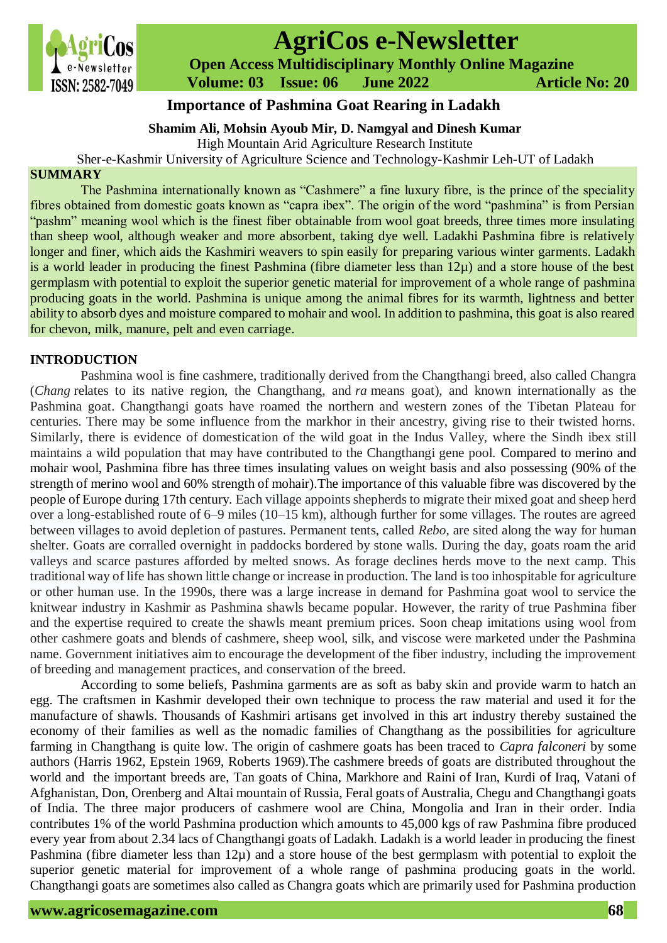

# **AgriCos e-Newsletter**

 **Open Access Multidisciplinary Monthly Online Magazine**

 **Volume: 03 Issue: 06 June 2022 Article No: 20**

# **Importance of Pashmina Goat Rearing in Ladakh**

#### **Shamim Ali, Mohsin Ayoub Mir, D. Namgyal and Dinesh Kumar**

High Mountain Arid Agriculture Research Institute

Sher-e-Kashmir University of Agriculture Science and Technology-Kashmir Leh-UT of Ladakh

### **SUMMARY**

The Pashmina internationally known as "Cashmere" a fine luxury fibre, is the prince of the speciality fibres obtained from domestic goats known as "capra ibex". The origin of the word "pashmina" is from Persian "pashm" meaning wool which is the finest fiber obtainable from wool goat breeds, three times more insulating than sheep wool, although weaker and more absorbent, taking dye well. Ladakhi Pashmina fibre is relatively longer and finer, which aids the Kashmiri weavers to spin easily for preparing various winter garments. Ladakh is a world leader in producing the finest Pashmina (fibre diameter less than 12µ) and a store house of the best germplasm with potential to exploit the superior genetic material for improvement of a whole range of pashmina producing goats in the world. Pashmina is unique among the animal fibres for its warmth, lightness and better ability to absorb dyes and moisture compared to mohair and wool. In addition to pashmina, this goat is also reared for chevon, milk, manure, pelt and even carriage.

# **INTRODUCTION**

Pashmina wool is fine cashmere, traditionally derived from the Changthangi breed, also called Changra (*Chang* relates to its native region, the Changthang, and *ra* means goat), and known internationally as the Pashmina goat. Changthangi goats have roamed the northern and western zones of the Tibetan Plateau for centuries. There may be some influence from the markhor in their ancestry, giving rise to their twisted horns. Similarly, there is evidence of domestication of the wild goat in the Indus Valley, where the Sindh ibex still maintains a wild population that may have contributed to the Changthangi gene pool. Compared to merino and mohair wool, Pashmina fibre has three times insulating values on weight basis and also possessing (90% of the strength of merino wool and 60% strength of mohair).The importance of this valuable fibre was discovered by the people of Europe during 17th century. Each village appoints shepherds to migrate their mixed goat and sheep herd over a long-established route of 6–9 miles (10–15 km), although further for some villages. The routes are agreed between villages to avoid depletion of pastures. Permanent tents, called *Rebo*, are sited along the way for human shelter. Goats are corralled overnight in paddocks bordered by stone walls. During the day, goats roam the arid valleys and scarce pastures afforded by melted snows. As forage declines herds move to the next camp. This traditional way of life has shown little change or increase in production. The land is too inhospitable for agriculture or other human use. In the 1990s, there was a large increase in demand for Pashmina goat wool to service the knitwear industry in Kashmir as Pashmina shawls became popular. However, the rarity of true Pashmina fiber and the expertise required to create the shawls meant premium prices. Soon cheap imitations using wool from other cashmere goats and blends of cashmere, sheep wool, silk, and viscose were marketed under the Pashmina name. Government initiatives aim to encourage the development of the fiber industry, including the improvement of breeding and management practices, and conservation of the breed.

According to some beliefs, Pashmina garments are as soft as baby skin and provide warm to hatch an egg. The craftsmen in Kashmir developed their own technique to process the raw material and used it for the manufacture of shawls. Thousands of Kashmiri artisans get involved in this art industry thereby sustained the economy of their families as well as the nomadic families of Changthang as the possibilities for agriculture farming in Changthang is quite low. The origin of cashmere goats has been traced to *Capra falconeri* by some authors (Harris 1962, Epstein 1969, Roberts 1969).The cashmere breeds of goats are distributed throughout the world and the important breeds are, Tan goats of China, Markhore and Raini of Iran, Kurdi of Iraq, Vatani of Afghanistan, Don, Orenberg and Altai mountain of Russia, Feral goats of Australia, Chegu and Changthangi goats of India. The three major producers of cashmere wool are China, Mongolia and Iran in their order. India contributes 1% of the world Pashmina production which amounts to 45,000 kgs of raw Pashmina fibre produced every year from about 2.34 lacs of Changthangi goats of Ladakh. Ladakh is a world leader in producing the finest Pashmina (fibre diameter less than 12µ) and a store house of the best germplasm with potential to exploit the superior genetic material for improvement of a whole range of pashmina producing goats in the world. Changthangi goats are sometimes also called as Changra goats which are primarily used for Pashmina production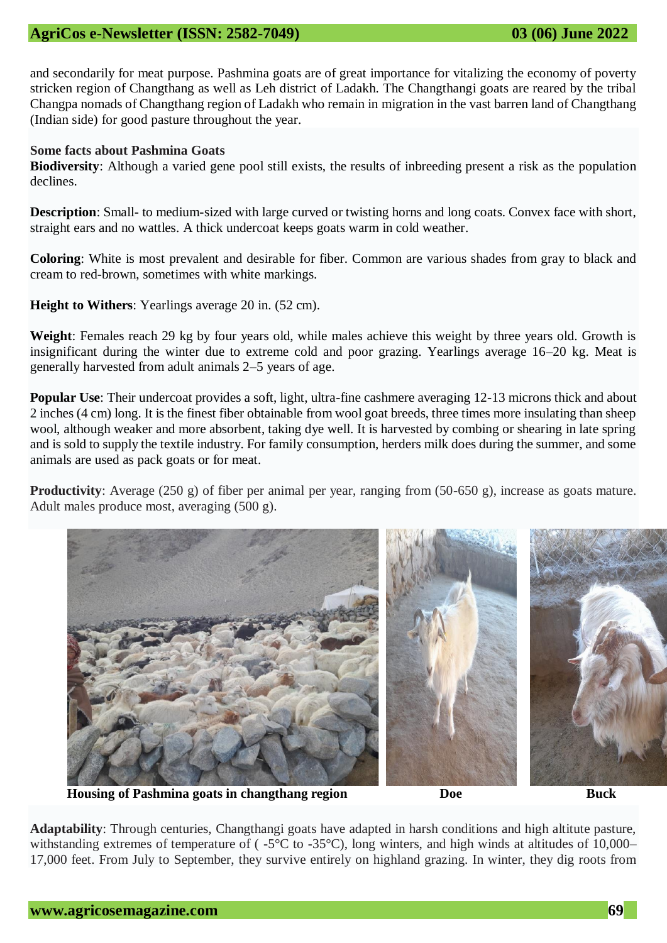and secondarily for meat purpose. Pashmina goats are of great importance for vitalizing the economy of poverty stricken region of Changthang as well as Leh district of Ladakh. The Changthangi goats are reared by the tribal Changpa nomads of Changthang region of Ladakh who remain in migration in the vast barren land of Changthang (Indian side) for good pasture throughout the year.

#### **Some facts about Pashmina Goats**

**Biodiversity**: Although a varied gene pool still exists, the [results of inbreeding](https://iamcountryside.com/homesteading/breed-diversity-and-results-of-inbreeding/) present a risk as the population declines.

**Description**: Small- to medium-sized with large curved or twisting horns and long coats. Convex face with short, straight ears and no wattles. A thick undercoat [keeps goats warm in cold weather.](https://backyardgoats.iamcountryside.com/health/deep-freeze-how-to-keep-goats-warm-in-cold-weather/)

**Coloring**: White is most prevalent and desirable for fiber. Common are various shades from gray to black and cream to red-brown, sometimes with white markings.

**Height to Withers**: Yearlings average 20 in. (52 cm).

**Weight**: Females reach 29 kg by four years old, while males achieve this weight by three years old. Growth is insignificant during the winter due to extreme cold and poor grazing. Yearlings average 16–20 kg. Meat is generally harvested from adult animals 2–5 years of age.

**Popular Use**: Their undercoat provides a soft, light, ultra-fine cashmere averaging 12-13 microns thick and about 2 inches (4 cm) long. It is the finest fiber obtainable from wool goat breeds, three times more insulating than sheep wool, although weaker and more absorbent, taking dye well. It is harvested by combing or shearing in late spring and is sold to supply the textile industry. For family consumption, herders milk does during the summer, and some animals are used as [pack goats](https://backyardgoats.iamcountryside.com/ownership/pack-goat-breeds-packing-quite-a-kick/) or for meat.

**Productivity**: Average (250 g) of fiber per animal per year, ranging from (50-650 g), increase as goats mature. Adult males produce most, averaging (500 g).



**Housing of Pashmina goats in changthang region Doe Buck**

**Adaptability**: Through centuries, Changthangi goats have adapted in harsh conditions and high altitute pasture, withstanding extremes of temperature of ( $-5^{\circ}$ C to  $-35^{\circ}$ C), long winters, and high winds at altitudes of 10,000– 17,000 feet. From July to September, they survive entirely on highland grazing. In winter, they dig roots from